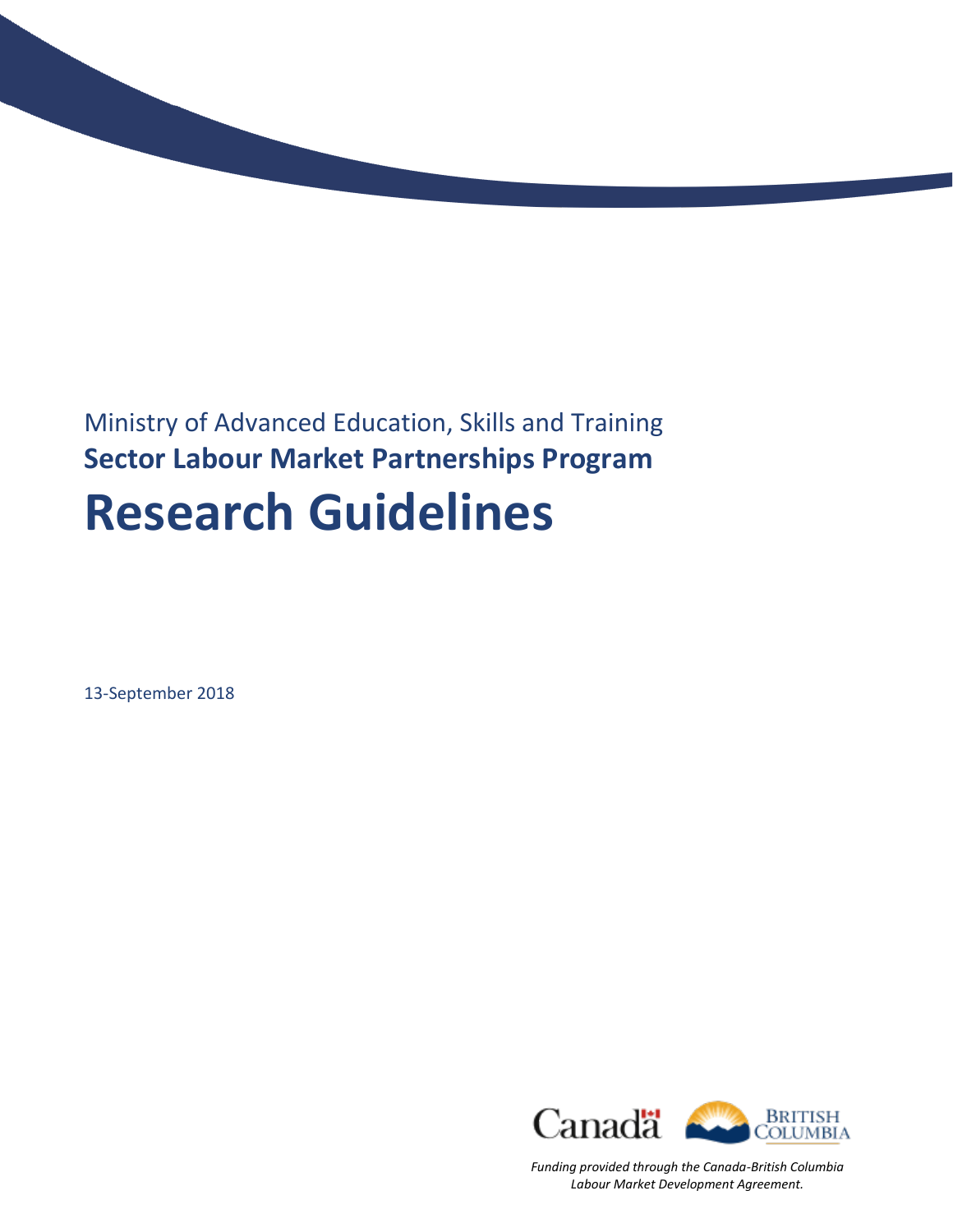

13-September 2018



*Funding provided through the Canada-British Columbia Labour Market Development Agreement.*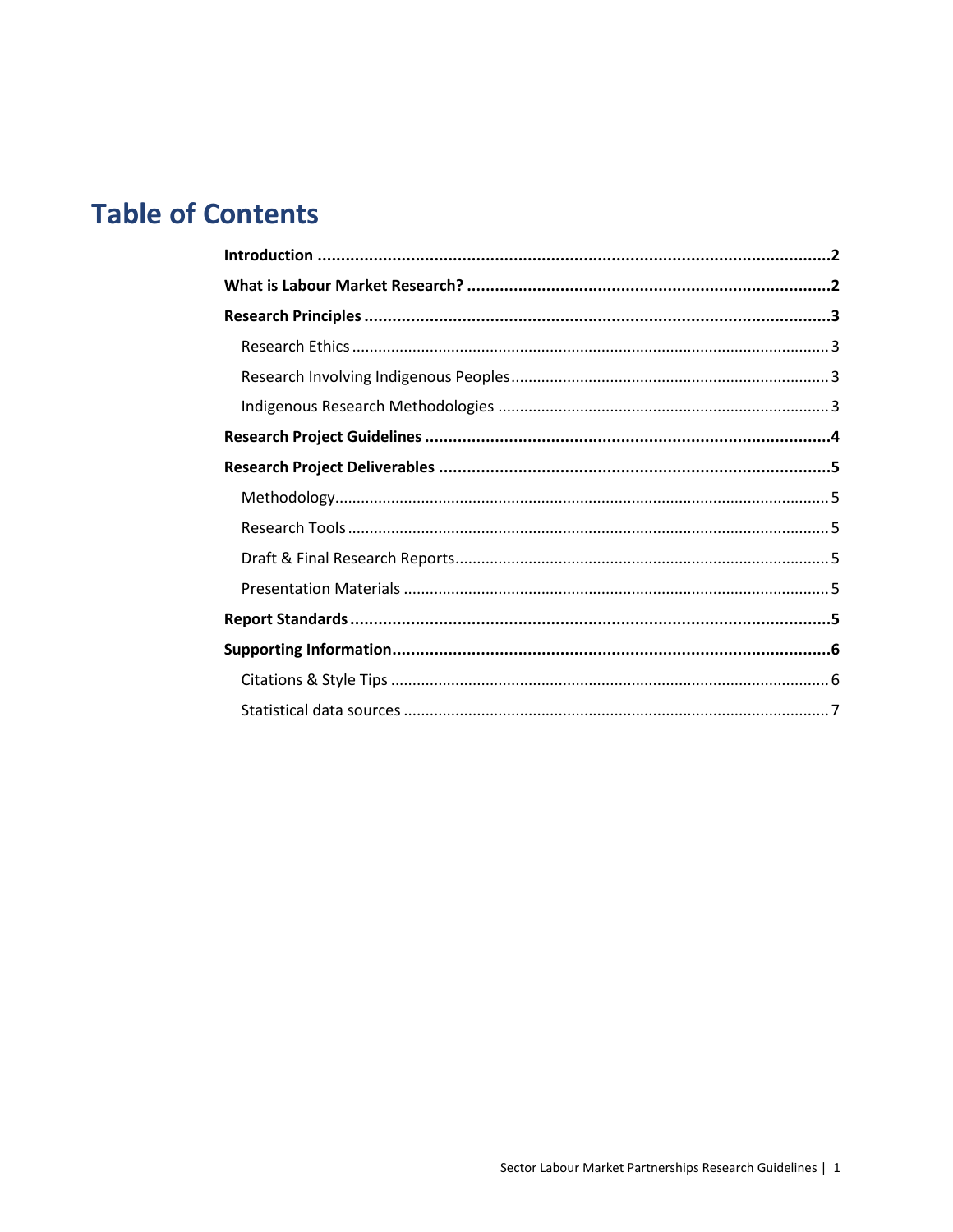# **Table of Contents**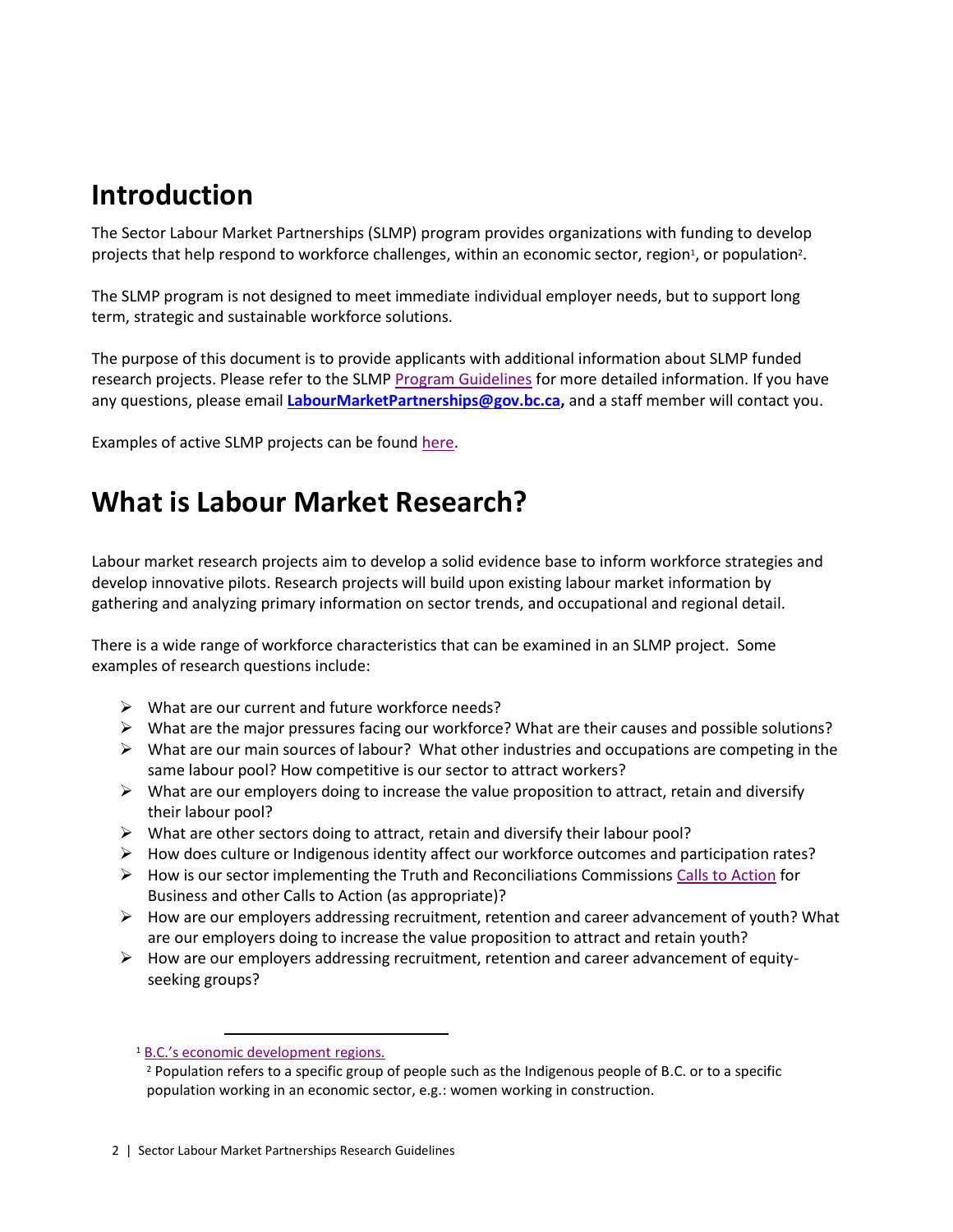### **Introduction**

The Sector Labour Market Partnerships (SLMP) program provides organizations with funding to develop projects that help respond to workforce challenges, within an economic sector, region<sup>1</sup>, or population<sup>2</sup>.

The SLMP program is not designed to meet immediate individual employer needs, but to support long term, strategic and sustainable workforce solutions.

The purpose of this document is to provide applicants with additional information about SLMP funded research projects. Please refer to the SLMP [Program Guidelines](https://www.workbc.ca/getmedia/e1e0f34c-6b6a-45cf-a6db-97371dc9ea7b/SectorLabourMarketPartnerships_Program_Guidelines.pdf.aspx) for more detailed information. If you have any questions, please email **[LabourMarketPartnerships@gov.bc.ca,](mailto:LabourMarketPartnerships@gov.bc.ca)** and a staff member will contact you.

[Examples](https://www.workbc.ca/Labour-Market-Industry/Industry-and-Sector-Information/Sector-Labour-Market-Partnerships/Sector-Labour-Market-Partnerships-Reports.aspx) of active SLMP projects can be found [here.](https://www.workbc.ca/getmedia/6dceaf3c-f242-414b-9c9c-2aa4b07520a4/Sector-LMP-Active-Projects.pdf.aspx)

### **What is Labour Market Research?**

Labour market research projects aim to develop a solid evidence base to inform workforce strategies and develop innovative pilots. Research projects will build upon existing labour market information by gathering and analyzing primary information on sector trends, and occupational and regional detail.

There is a wide range of workforce characteristics that can be examined in an SLMP project. Some examples of research questions include:

- $\triangleright$  What are our current and future workforce needs?
- $\triangleright$  What are the major pressures facing our workforce? What are their causes and possible solutions?
- $\triangleright$  What are our main sources of labour? What other industries and occupations are competing in the same labour pool? How competitive is our sector to attract workers?
- $\triangleright$  What are our employers doing to increase the value proposition to attract, retain and diversify their labour pool?
- $\triangleright$  What are other sectors doing to attract, retain and diversify their labour pool?
- ➢ How does culture or Indigenous identity affect our workforce outcomes and participation rates?
- $\triangleright$  How is our sector implementing the Truth and Reconciliations Commissions Calls [to Action](http://nctr.ca/assets/reports/Calls_to_Action_English2.pdf) for Business and other Calls to Action (as appropriate)?
- $\triangleright$  How are our employers addressing recruitment, retention and career advancement of youth? What are our employers doing to increase the value proposition to attract and retain youth?
- $\triangleright$  How are our employers addressing recruitment, retention and career advancement of equityseeking groups?

 $\overline{a}$ 

<sup>1</sup> B.C.['s economic development regions.](https://www2.gov.bc.ca/gov/content/employment-business/economic-development/plan-and-measure/bc-economic-atlas)

<sup>&</sup>lt;sup>2</sup> Population refers to a specific group of people such as the Indigenous people of B.C. or to a specific population working in an economic sector, e.g.: women working in construction.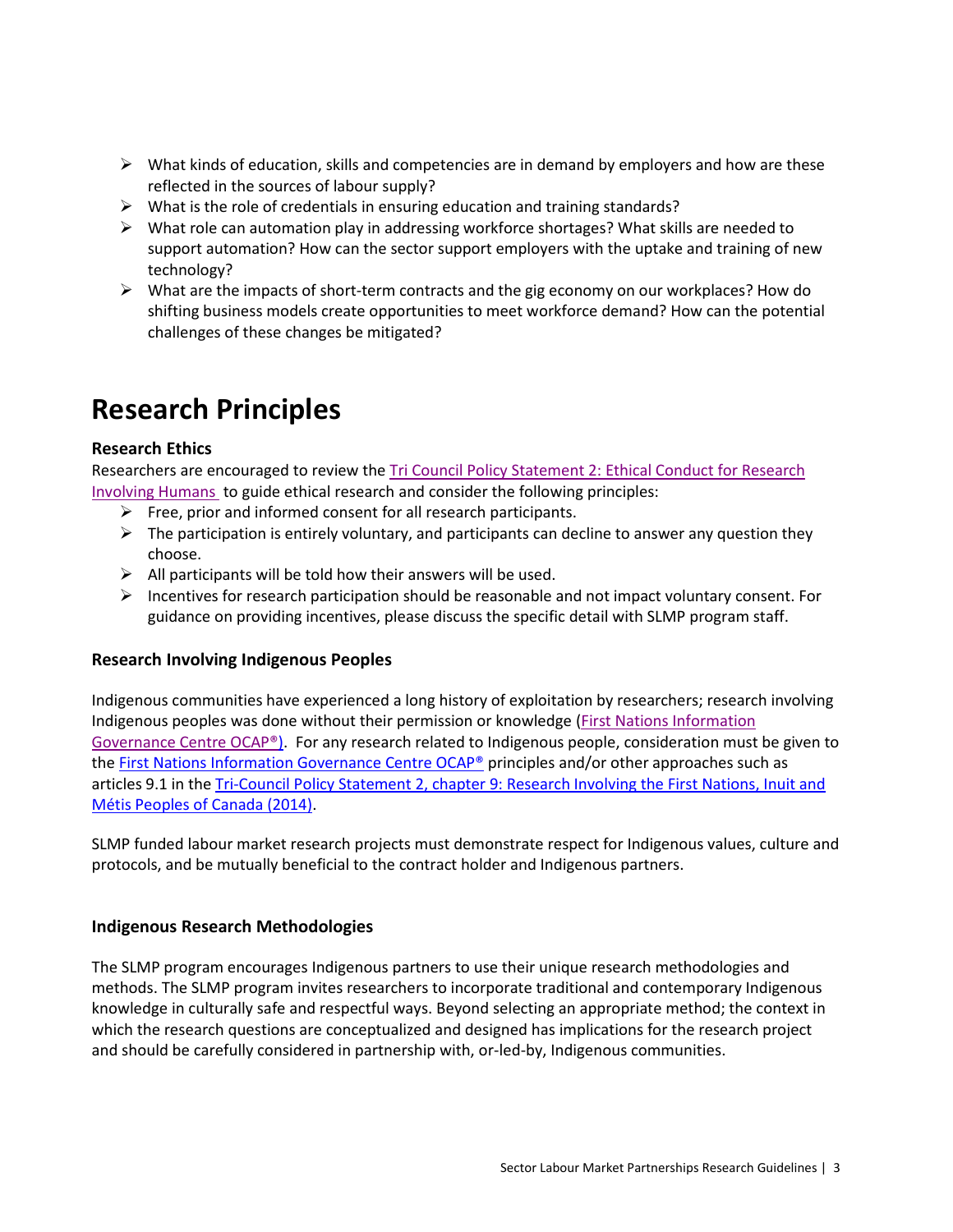- $\triangleright$  What kinds of education, skills and competencies are in demand by employers and how are these reflected in the sources of labour supply?
- $\triangleright$  What is the role of credentials in ensuring education and training standards?
- $\triangleright$  What role can automation play in addressing workforce shortages? What skills are needed to support automation? How can the sector support employers with the uptake and training of new technology?
- ➢ What are the impacts of short-term contracts and the gig economy on our workplaces? How do shifting business models create opportunities to meet workforce demand? How can the potential challenges of these changes be mitigated?

## **Research Principles**

#### **Research Ethics**

Researchers are encouraged to review the [Tri Council Policy Statement 2: Ethical Conduct for Research](http://www.pre.ethics.gc.ca/eng/policy-politique/initiatives/tcps2-eptc2/Default/)  [Involving Humans](http://www.pre.ethics.gc.ca/eng/policy-politique/initiatives/tcps2-eptc2/Default/) to guide ethical research and consider the following principles:

- $\triangleright$  Free, prior and informed consent for all research participants.
- $\triangleright$  The participation is entirely voluntary, and participants can decline to answer any question they choose.
- $\triangleright$  All participants will be told how their answers will be used.
- $\triangleright$  Incentives for research participation should be reasonable and not impact voluntary consent. For guidance on providing incentives, please discuss the specific detail with SLMP program staff.

#### **Research Involving Indigenous Peoples**

Indigenous communities have experienced a long history of exploitation by researchers; research involving Indigenous peoples was done without their permission or knowledge [\(First Nations Information](http://fnigc.ca/sites/default/files/docs/ocap_path_to_fn_information_governance_en_final.pdf)  [Governance Centre OCAP®\)](http://fnigc.ca/sites/default/files/docs/ocap_path_to_fn_information_governance_en_final.pdf). For any research related to Indigenous people, consideration must be given to the [First Nations Information Governance Centre OCAP®](http://fnigc.ca/sites/default/files/docs/ocap_path_to_fn_information_governance_en_final.pdf) principles and/or other approaches such as articles 9.1 in the [Tri-Council Policy Statement 2, chapter 9: Research Involving the First Nations, Inuit and](http://www.pre.ethics.gc.ca/eng/policy-politique/initiatives/tcps2-eptc2/chapter9-chapitre9/)  [Métis Peoples of Canada \(2014\).](http://www.pre.ethics.gc.ca/eng/policy-politique/initiatives/tcps2-eptc2/chapter9-chapitre9/)

SLMP funded labour market research projects must demonstrate respect for Indigenous values, culture and protocols, and be mutually beneficial to the contract holder and Indigenous partners.

#### **Indigenous Research Methodologies**

The SLMP program encourages Indigenous partners to use their unique research methodologies and methods. The SLMP program invites researchers to incorporate traditional and contemporary Indigenous knowledge in culturally safe and respectful ways. Beyond selecting an appropriate method; the context in which the research questions are conceptualized and designed has implications for the research project and should be carefully considered in partnership with, or-led-by, Indigenous communities.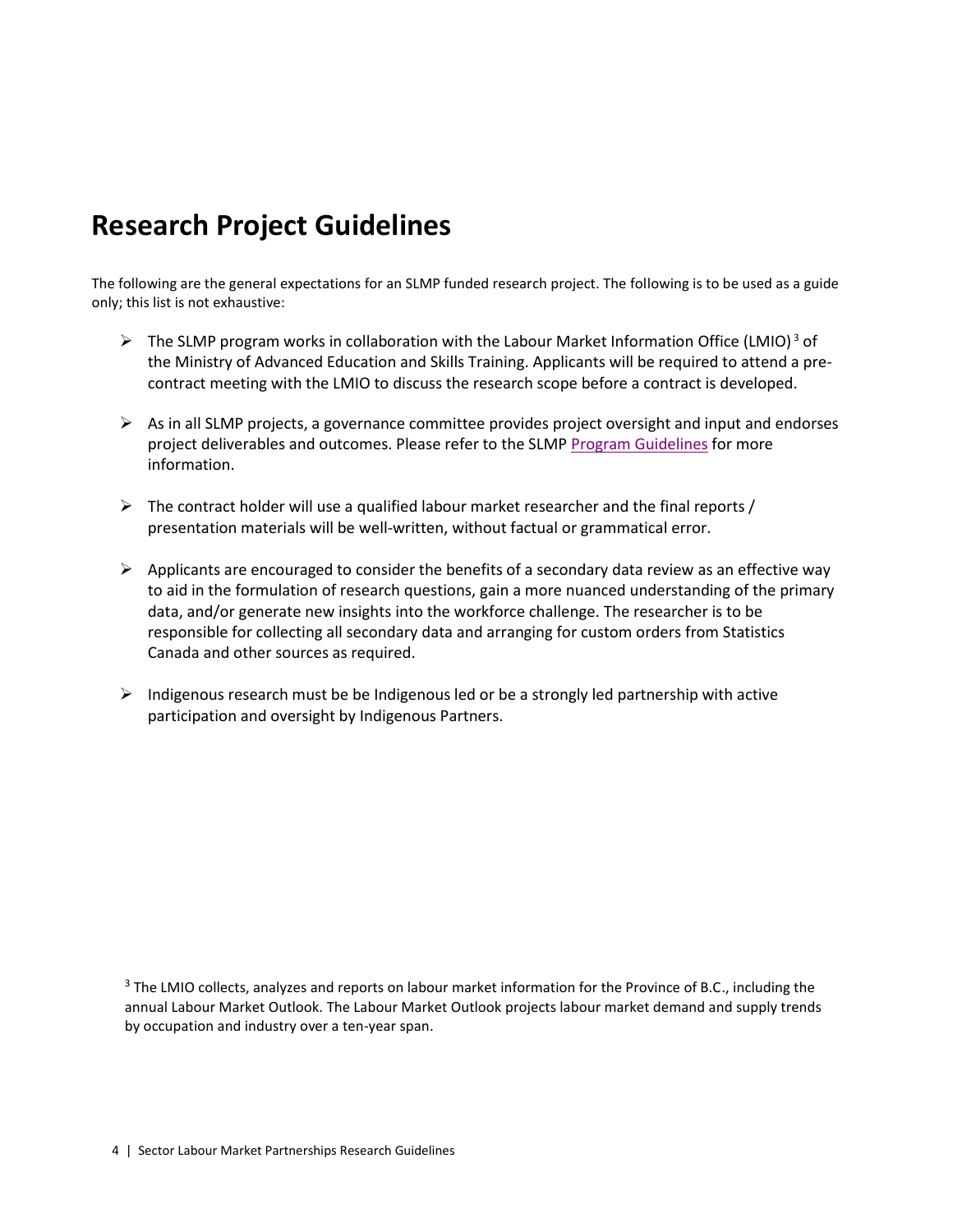## **Research Project Guidelines**

The following are the general expectations for an SLMP funded research project. The following is to be used as a guide only; this list is not exhaustive:

- $\triangleright$  The SLMP program works in collaboration with the Labour Market Information Office (LMIO)<sup>3</sup> of the Ministry of Advanced Education and Skills Training. Applicants will be required to attend a precontract meeting with the LMIO to discuss the research scope before a contract is developed.
- $\triangleright$  As in all SLMP projects, a governance committee provides project oversight and input and endorses project deliverables and outcomes. Please refer to the SLMP [Program Guidelines](https://www.workbc.ca/getmedia/e1e0f34c-6b6a-45cf-a6db-97371dc9ea7b/SectorLabourMarketPartnerships_Program_Guidelines.pdf.aspx) for more information.
- $\triangleright$  The contract holder will use a qualified labour market researcher and the final reports / presentation materials will be well-written, without factual or grammatical error.
- $\triangleright$  Applicants are encouraged to consider the benefits of a secondary data review as an effective way to aid in the formulation of research questions, gain a more nuanced understanding of the primary data, and/or generate new insights into the workforce challenge. The researcher is to be responsible for collecting all secondary data and arranging for custom orders from Statistics Canada and other sources as required.
- $\triangleright$  Indigenous research must be be Indigenous led or be a strongly led partnership with active participation and oversight by Indigenous Partners.

<sup>3</sup> The LMIO collects, analyzes and reports on labour market information for the Province of B.C., including the annual Labour Market Outlook. The Labour Market Outlook projects labour market demand and supply trends by occupation and industry over a ten-year span.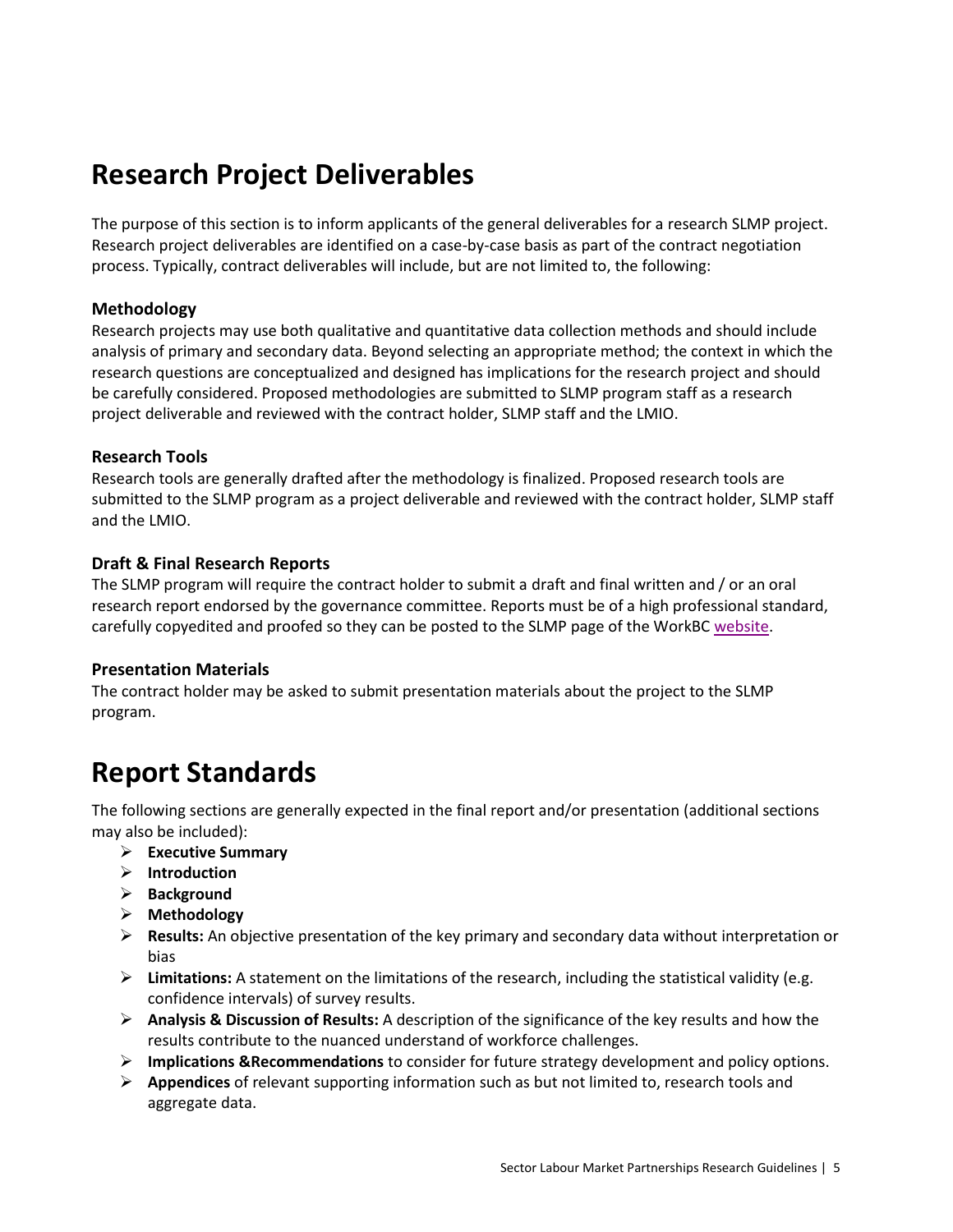## **Research Project Deliverables**

The purpose of this section is to inform applicants of the general deliverables for a research SLMP project. Research project deliverables are identified on a case-by-case basis as part of the contract negotiation process. Typically, contract deliverables will include, but are not limited to, the following:

#### **Methodology**

Research projects may use both qualitative and quantitative data collection methods and should include analysis of primary and secondary data. Beyond selecting an appropriate method; the context in which the research questions are conceptualized and designed has implications for the research project and should be carefully considered. Proposed methodologies are submitted to SLMP program staff as a research project deliverable and reviewed with the contract holder, SLMP staff and the LMIO.

#### **Research Tools**

Research tools are generally drafted after the methodology is finalized. Proposed research tools are submitted to the SLMP program as a project deliverable and reviewed with the contract holder, SLMP staff and the LMIO.

#### **Draft & Final Research Reports**

The SLMP program will require the contract holder to submit a draft and final written and / or an oral research report endorsed by the governance committee. Reports must be of a high professional standard, carefully copyedited and proofed so they can be posted to the SLMP page of the WorkB[C website.](https://www.workbc.ca/Labour-Market-Industry/Sector-Labour-Market-Partnerships-Program.aspx)

#### **Presentation Materials**

The contract holder may be asked to submit presentation materials about the project to the SLMP program.

### **Report Standards**

The following sections are generally expected in the final report and/or presentation (additional sections may also be included):

- ➢ **Executive Summary**
- ➢ **Introduction**
- ➢ **Background**
- ➢ **Methodology**
- ➢ **Results:** An objective presentation of the key primary and secondary data without interpretation or bias
- ➢ **Limitations:** A statement on the limitations of the research, including the statistical validity (e.g. confidence intervals) of survey results.
- ➢ **Analysis & Discussion of Results:** A description of the significance of the key results and how the results contribute to the nuanced understand of workforce challenges.
- ➢ **Implications &Recommendations** to consider for future strategy development and policy options.
- ➢ **Appendices** of relevant supporting information such as but not limited to, research tools and aggregate data.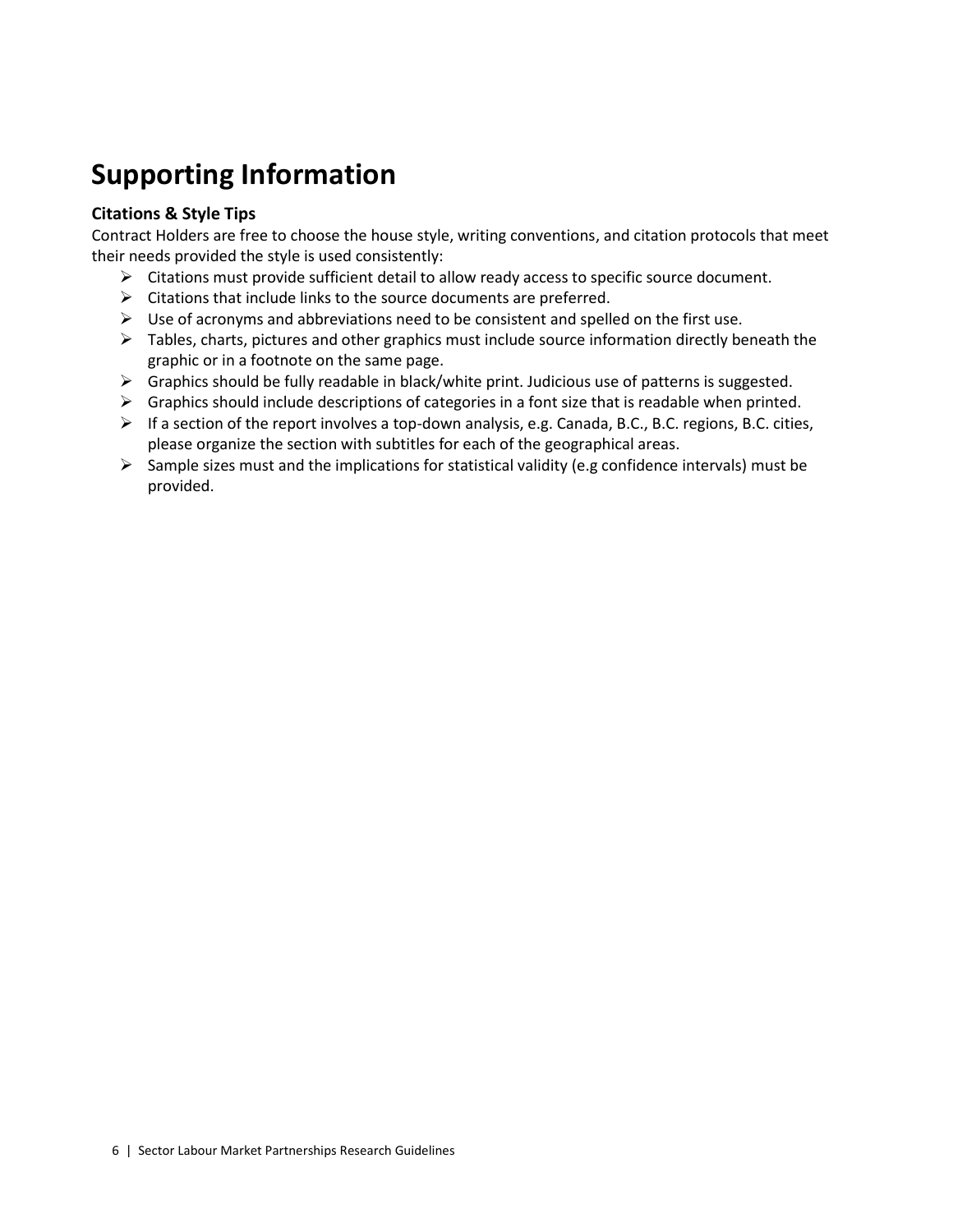# **Supporting Information**

### **Citations & Style Tips**

Contract Holders are free to choose the house style, writing conventions, and citation protocols that meet their needs provided the style is used consistently:

- $\triangleright$  Citations must provide sufficient detail to allow ready access to specific source document.
- $\triangleright$  Citations that include links to the source documents are preferred.
- $\triangleright$  Use of acronyms and abbreviations need to be consistent and spelled on the first use.
- $\triangleright$  Tables, charts, pictures and other graphics must include source information directly beneath the graphic or in a footnote on the same page.
- $\triangleright$  Graphics should be fully readable in black/white print. Judicious use of patterns is suggested.
- $\triangleright$  Graphics should include descriptions of categories in a font size that is readable when printed.
- $\triangleright$  If a section of the report involves a top-down analysis, e.g. Canada, B.C., B.C. regions, B.C. cities, please organize the section with subtitles for each of the geographical areas.
- $\triangleright$  Sample sizes must and the implications for statistical validity (e.g confidence intervals) must be provided.